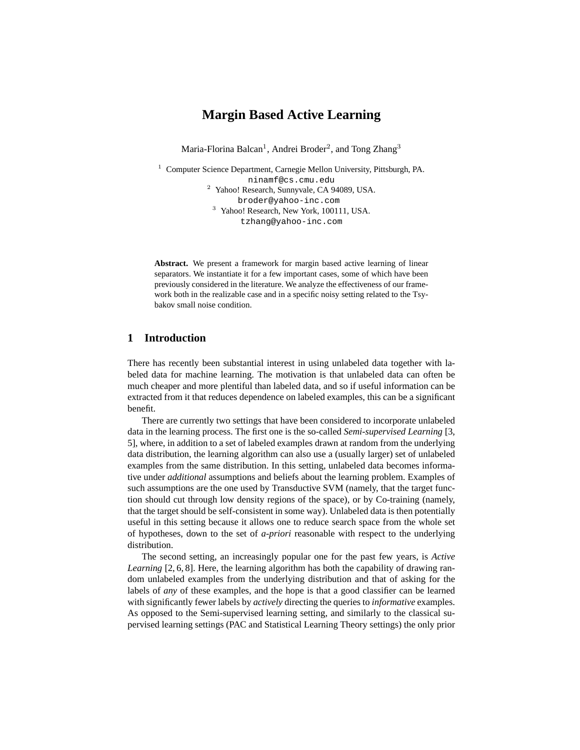# **Margin Based Active Learning**

Maria-Florina Balcan<sup>1</sup>, Andrei Broder<sup>2</sup>, and Tong Zhang<sup>3</sup>

<sup>1</sup> Computer Science Department, Carnegie Mellon University, Pittsburgh, PA. ninamf@cs.cmu.edu <sup>2</sup> Yahoo! Research, Sunnyvale, CA 94089, USA.

broder@yahoo-inc.com

<sup>3</sup> Yahoo! Research, New York, 100111, USA. tzhang@yahoo-inc.com

**Abstract.** We present a framework for margin based active learning of linear separators. We instantiate it for a few important cases, some of which have been previously considered in the literature. We analyze the effectiveness of our framework both in the realizable case and in a specific noisy setting related to the Tsybakov small noise condition.

# **1 Introduction**

There has recently been substantial interest in using unlabeled data together with labeled data for machine learning. The motivation is that unlabeled data can often be much cheaper and more plentiful than labeled data, and so if useful information can be extracted from it that reduces dependence on labeled examples, this can be a significant benefit.

There are currently two settings that have been considered to incorporate unlabeled data in the learning process. The first one is the so-called *Semi-supervised Learning* [3, 5], where, in addition to a set of labeled examples drawn at random from the underlying data distribution, the learning algorithm can also use a (usually larger) set of unlabeled examples from the same distribution. In this setting, unlabeled data becomes informative under *additional* assumptions and beliefs about the learning problem. Examples of such assumptions are the one used by Transductive SVM (namely, that the target function should cut through low density regions of the space), or by Co-training (namely, that the target should be self-consistent in some way). Unlabeled data is then potentially useful in this setting because it allows one to reduce search space from the whole set of hypotheses, down to the set of *a-priori* reasonable with respect to the underlying distribution.

The second setting, an increasingly popular one for the past few years, is *Active Learning* [2, 6, 8]. Here, the learning algorithm has both the capability of drawing random unlabeled examples from the underlying distribution and that of asking for the labels of *any* of these examples, and the hope is that a good classifier can be learned with significantly fewer labels by *actively* directing the queries to *informative* examples. As opposed to the Semi-supervised learning setting, and similarly to the classical supervised learning settings (PAC and Statistical Learning Theory settings) the only prior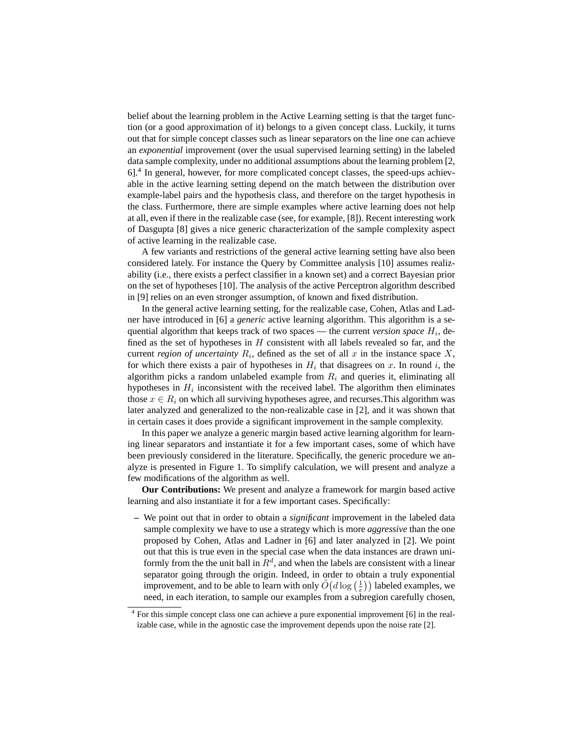belief about the learning problem in the Active Learning setting is that the target function (or a good approximation of it) belongs to a given concept class. Luckily, it turns out that for simple concept classes such as linear separators on the line one can achieve an *exponential* improvement (over the usual supervised learning setting) in the labeled data sample complexity, under no additional assumptions about the learning problem [2, 6].<sup>4</sup> In general, however, for more complicated concept classes, the speed-ups achievable in the active learning setting depend on the match between the distribution over example-label pairs and the hypothesis class, and therefore on the target hypothesis in the class. Furthermore, there are simple examples where active learning does not help at all, even if there in the realizable case (see, for example, [8]). Recent interesting work of Dasgupta [8] gives a nice generic characterization of the sample complexity aspect of active learning in the realizable case.

A few variants and restrictions of the general active learning setting have also been considered lately. For instance the Query by Committee analysis [10] assumes realizability (i.e., there exists a perfect classifier in a known set) and a correct Bayesian prior on the set of hypotheses [10]. The analysis of the active Perceptron algorithm described in [9] relies on an even stronger assumption, of known and fixed distribution.

In the general active learning setting, for the realizable case, Cohen, Atlas and Ladner have introduced in [6] a *generic* active learning algorithm. This algorithm is a sequential algorithm that keeps track of two spaces  $-$  the current *version space*  $H_i$ , defined as the set of hypotheses in  $H$  consistent with all labels revealed so far, and the current *region of uncertainty*  $R_i$ , defined as the set of all  $x$  in the instance space  $X$ , for which there exists a pair of hypotheses in  $H_i$  that disagrees on x. In round i, the algorithm picks a random unlabeled example from  $R_i$  and queries it, eliminating all hypotheses in  $H_i$  inconsistent with the received label. The algorithm then eliminates those  $x \in R_i$  on which all surviving hypotheses agree, and recurses. This algorithm was later analyzed and generalized to the non-realizable case in [2], and it was shown that in certain cases it does provide a significant improvement in the sample complexity.

In this paper we analyze a generic margin based active learning algorithm for learning linear separators and instantiate it for a few important cases, some of which have been previously considered in the literature. Specifically, the generic procedure we analyze is presented in Figure 1. To simplify calculation, we will present and analyze a few modifications of the algorithm as well.

**Our Contributions:** We present and analyze a framework for margin based active learning and also instantiate it for a few important cases. Specifically:

**–** We point out that in order to obtain a *significant* improvement in the labeled data sample complexity we have to use a strategy which is more *aggressive* than the one proposed by Cohen, Atlas and Ladner in [6] and later analyzed in [2]. We point out that this is true even in the special case when the data instances are drawn uniformly from the the unit ball in  $R^d$ , and when the labels are consistent with a linear separator going through the origin. Indeed, in order to obtain a truly exponential improvement, and to be able to learn with only  $\tilde{O}(d \log(\frac{1}{\epsilon}))$  labeled examples, we need, in each iteration, to sample our examples from a subregion carefully chosen,

 $4$  For this simple concept class one can achieve a pure exponential improvement [6] in the realizable case, while in the agnostic case the improvement depends upon the noise rate [2].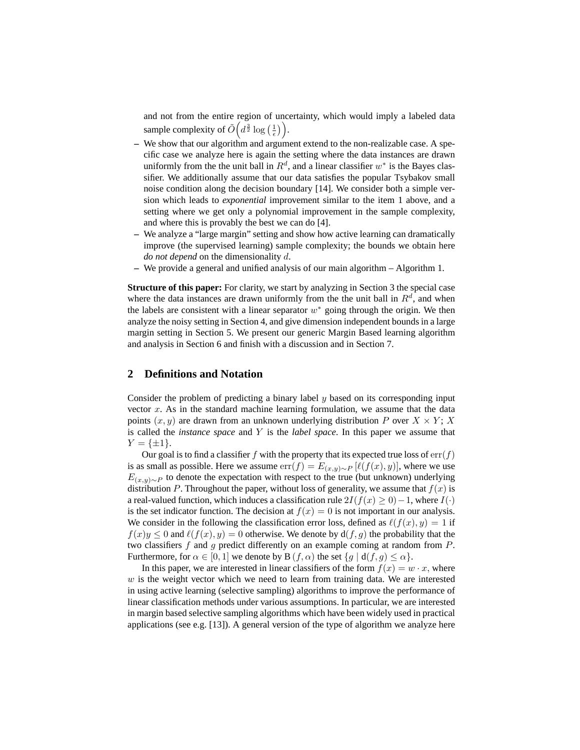and not from the entire region of uncertainty, which would imply a labeled data sample complexity of  $\tilde{O}\left(d^{\frac{3}{2}}\log\left(\frac{1}{\epsilon}\right)\right)$ .

- **–** We show that our algorithm and argument extend to the non-realizable case. A specific case we analyze here is again the setting where the data instances are drawn uniformly from the the unit ball in  $R^d$ , and a linear classifier  $w^*$  is the Bayes classifier. We additionally assume that our data satisfies the popular Tsybakov small noise condition along the decision boundary [14]. We consider both a simple version which leads to *exponential* improvement similar to the item 1 above, and a setting where we get only a polynomial improvement in the sample complexity, and where this is provably the best we can do [4].
- **–** We analyze a "large margin" setting and show how active learning can dramatically improve (the supervised learning) sample complexity; the bounds we obtain here *do not depend* on the dimensionality d.
- **–** We provide a general and unified analysis of our main algorithm Algorithm 1.

**Structure of this paper:** For clarity, we start by analyzing in Section 3 the special case where the data instances are drawn uniformly from the the unit ball in  $R<sup>d</sup>$ , and when the labels are consistent with a linear separator  $w^*$  going through the origin. We then analyze the noisy setting in Section 4, and give dimension independent bounds in a large margin setting in Section 5. We present our generic Margin Based learning algorithm and analysis in Section 6 and finish with a discussion and in Section 7.

## **2 Definitions and Notation**

Consider the problem of predicting a binary label  $y$  based on its corresponding input vector  $x$ . As in the standard machine learning formulation, we assume that the data points  $(x, y)$  are drawn from an unknown underlying distribution P over  $X \times Y$ ; X is called the *instance space* and Y is the *label space*. In this paper we assume that  $Y = \{\pm 1\}.$ 

Our goal is to find a classifier f with the property that its expected true loss of  $err(f)$ is as small as possible. Here we assume  $err(f) = E_{(x,y)\sim P} [\ell(f(x), y)]$ , where we use  $E_{(x,y)\sim P}$  to denote the expectation with respect to the true (but unknown) underlying distribution P. Throughout the paper, without loss of generality, we assume that  $f(x)$  is a real-valued function, which induces a classification rule  $2I(f(x) \ge 0) - 1$ , where  $I(\cdot)$ is the set indicator function. The decision at  $f(x) = 0$  is not important in our analysis. We consider in the following the classification error loss, defined as  $\ell(f(x), y) = 1$  if  $f(x)y \leq 0$  and  $\ell(f(x), y) = 0$  otherwise. We denote by  $d(f, g)$  the probability that the two classifiers  $f$  and  $g$  predict differently on an example coming at random from  $P$ . Furthermore, for  $\alpha \in [0, 1]$  we denote by B  $(f, \alpha)$  the set  $\{g \mid d(f, g) \leq \alpha\}.$ 

In this paper, we are interested in linear classifiers of the form  $f(x) = w \cdot x$ , where  $w$  is the weight vector which we need to learn from training data. We are interested in using active learning (selective sampling) algorithms to improve the performance of linear classification methods under various assumptions. In particular, we are interested in margin based selective sampling algorithms which have been widely used in practical applications (see e.g. [13]). A general version of the type of algorithm we analyze here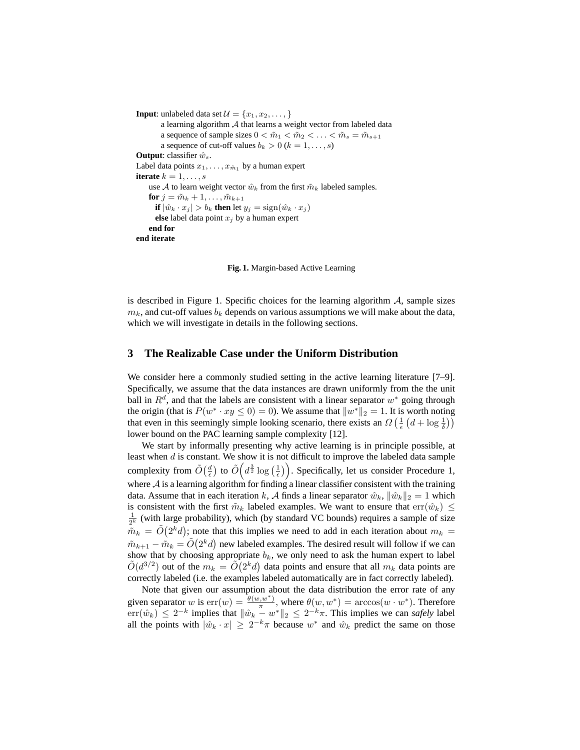**Input**: unlabeled data set  $\mathcal{U} = \{x_1, x_2, \dots, \}$ a learning algorithm A that learns a weight vector from labeled data a sequence of sample sizes  $0 < \tilde{m}_1 < \tilde{m}_2 < \ldots < \tilde{m}_s = \tilde{m}_{s+1}$ a sequence of cut-off values  $b_k > 0$  ( $k = 1, \ldots, s$ ) **Output**: classifier  $\hat{w}_s$ . Label data points  $x_1, \ldots, x_{m_1}$  by a human expert **iterate**  $k = 1, \ldots, s$ use A to learn weight vector  $\hat{w}_k$  from the first  $\tilde{m}_k$  labeled samples. **for**  $j = \tilde{m}_k + 1, \ldots, \tilde{m}_{k+1}$ **if**  $|\hat{w}_k \cdot x_j| > b_k$  **then** let  $y_j = \text{sign}(\hat{w}_k \cdot x_j)$ **else** label data point  $x_j$  by a human expert **end for end iterate**

**Fig. 1.** Margin-based Active Learning

is described in Figure 1. Specific choices for the learning algorithm  $A$ , sample sizes  $m_k$ , and cut-off values  $b_k$  depends on various assumptions we will make about the data, which we will investigate in details in the following sections.

#### **3 The Realizable Case under the Uniform Distribution**

We consider here a commonly studied setting in the active learning literature [7–9]. Specifically, we assume that the data instances are drawn uniformly from the the unit ball in  $R<sup>d</sup>$ , and that the labels are consistent with a linear separator  $w^*$  going through the origin (that is  $P(w^* \cdot xy \le 0) = 0$ ). We assume that  $||w^*||_2 = 1$ . It is worth noting that even in this seemingly simple looking scenario, there exists an  $\Omega\left(\frac{1}{\epsilon}\left(d + \log \frac{1}{\delta}\right)\right)$ lower bound on the PAC learning sample complexity [12].

We start by informally presenting why active learning is in principle possible, at least when  $d$  is constant. We show it is not difficult to improve the labeled data sample complexity from  $\tilde{O}\left(\frac{d}{\epsilon}\right)$  to  $\tilde{O}\left(d^{\frac{3}{2}}\log\left(\frac{1}{\epsilon}\right)\right)$ . Specifically, let us consider Procedure 1, where  $A$  is a learning algorithm for finding a linear classifier consistent with the training data. Assume that in each iteration k, A finds a linear separator  $\hat{w}_k$ ,  $\|\hat{w}_k\|_2 = 1$  which is consistent with the first  $\tilde{m}_k$  labeled examples. We want to ensure that  $err(\hat{w}_k) \le$  $\frac{1}{2^k}$  (with large probability), which (by standard VC bounds) requires a sample of size  $\tilde{m}_k = \tilde{O}(2^k d)$ ; note that this implies we need to add in each iteration about  $m_k =$  $\tilde{m}_{k+1} - \tilde{m}_k = \tilde{O}(2^k d)$  new labeled examples. The desired result will follow if we can show that by choosing appropriate  $b_k$ , we only need to ask the human expert to label  $\tilde{O}(d^{3/2})$  out of the  $m_k = \tilde{O}(2^k d)$  data points and ensure that all  $m_k$  data points are correctly labeled (i.e. the examples labeled automatically are in fact correctly labeled).

Note that given our assumption about the data distribution the error rate of any given separator w is  $\text{err}(w) = \frac{\theta(w, w^*)}{\pi}$  $\frac{d^m v}{dt^m}$ , where  $\theta(w, w^*) = \arccos(w \cdot w^*)$ . Therefore  $\text{err}(\hat{w}_k) \leq 2^{-k}$  implies that  $\|\hat{w}_k - w^*\|_2 \leq 2^{-k}\pi$ . This implies we can *safely* label all the points with  $|\hat{w}_k \cdot x| \geq 2^{-k} \pi$  because  $w^*$  and  $\hat{w}_k$  predict the same on those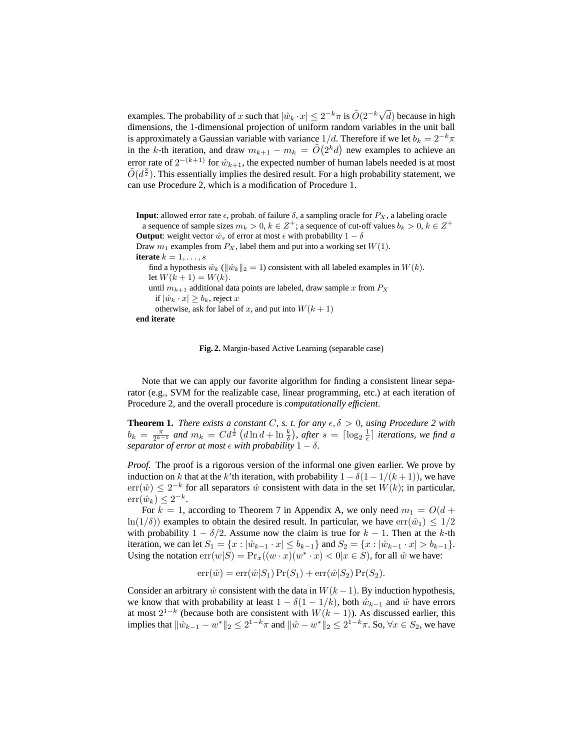examples. The probability of x such that  $|\hat{w}_k \cdot x| \leq 2^{-k} \pi$  is  $\tilde{O}(2^{-k}\sqrt{d})$  because in high dimensions, the 1-dimensional projection of uniform random variables in the unit ball is approximately a Gaussian variable with variance  $1/d$ . Therefore if we let  $b_k = 2^{-k} \pi$ in the k-th iteration, and draw  $m_{k+1} - m_k = \tilde{O}(2^k d)$  new examples to achieve an error rate of  $2^{-(k+1)}$  for  $\hat{w}_{k+1}$ , the expected number of human labels needed is at most  $\tilde{O}(d^{\frac{3}{2}})$ . This essentially implies the desired result. For a high probability statement, we can use Procedure 2, which is a modification of Procedure 1.

**Input**: allowed error rate  $\epsilon$ , probab. of failure  $\delta$ , a sampling oracle for  $P_X$ , a labeling oracle a sequence of sample sizes  $m_k > 0$ ,  $k \in \mathbb{Z}^+$ ; a sequence of cut-off values  $b_k > 0$ ,  $k \in \mathbb{Z}^+$ **Output**: weight vector  $\hat{w}_s$  of error at most  $\epsilon$  with probability  $1 - \delta$ Draw  $m_1$  examples from  $P_X$ , label them and put into a working set  $W(1)$ . **iterate**  $k = 1, \ldots, s$ find a hypothesis  $\hat{w}_k$  ( $\|\hat{w}_k\|_2 = 1$ ) consistent with all labeled examples in  $W(k)$ . let  $W(k + 1) = W(k)$ . until  $m_{k+1}$  additional data points are labeled, draw sample x from  $P_X$ if  $|\hat{w}_k \cdot x| \geq b_k$ , reject x otherwise, ask for label of x, and put into  $W(k + 1)$ **end iterate**

**Fig. 2.** Margin-based Active Learning (separable case)

Note that we can apply our favorite algorithm for finding a consistent linear separator (e.g., SVM for the realizable case, linear programming, etc.) at each iteration of Procedure 2, and the overall procedure is *computationally efficient*.

**Theorem 1.** *There exists a constant* C, s. t. for any  $\epsilon, \delta > 0$ , using Procedure 2 with  $b_k = \frac{\pi}{2^{k-1}}$  and  $m_k = C d^{\frac{1}{2}} (d \ln d + \ln \frac{k}{\delta})$ , after  $s = \lceil \log_2 \frac{1}{\epsilon} \rceil$  iterations, we find a *separator of error at most*  $\epsilon$  *with probability*  $1 - \delta$ *.* 

*Proof.* The proof is a rigorous version of the informal one given earlier. We prove by induction on k that at the k'th iteration, with probability  $1 - \delta(1 - 1/(k+1))$ , we have  $err(\hat{w}) \leq 2^{-k}$  for all separators  $\hat{w}$  consistent with data in the set  $W(k)$ ; in particular,  $err(\hat{w}_k) \leq 2^{-k}.$ 

For  $k = 1$ , according to Theorem 7 in Appendix A, we only need  $m_1 = O(d +$  $\ln(1/\delta)$ ) examples to obtain the desired result. In particular, we have  $\text{err}(\hat{w}_1) \leq 1/2$ with probability  $1 - \delta/2$ . Assume now the claim is true for  $k - 1$ . Then at the k-th iteration, we can let  $S_1 = \{x : |\hat{w}_{k-1} \cdot x| \le b_{k-1}\}\$  and  $S_2 = \{x : |\hat{w}_{k-1} \cdot x| > b_{k-1}\}\$ . Using the notation  $err(w|S) = Pr_x((w \cdot x)(w^* \cdot x) < 0|x \in S)$ , for all  $\hat{w}$  we have:

 $err(\hat{w}) = err(\hat{w}|S_1) Pr(S_1) + err(\hat{w}|S_2) Pr(S_2).$ 

Consider an arbitrary  $\hat{w}$  consistent with the data in  $W(k-1)$ . By induction hypothesis, we know that with probability at least  $1 - \delta(1 - 1/k)$ , both  $\hat{w}_{k-1}$  and  $\hat{w}$  have errors at most  $2^{1-k}$  (because both are consistent with  $W(k-1)$ ). As discussed earlier, this implies that  $||\hat{w}_{k-1} - w^*||_2 \le 2^{1-k}\pi$  and  $||\hat{w} - w^*||_2 \le 2^{1-k}\pi$ . So, ∀x ∈ S<sub>2</sub>, we have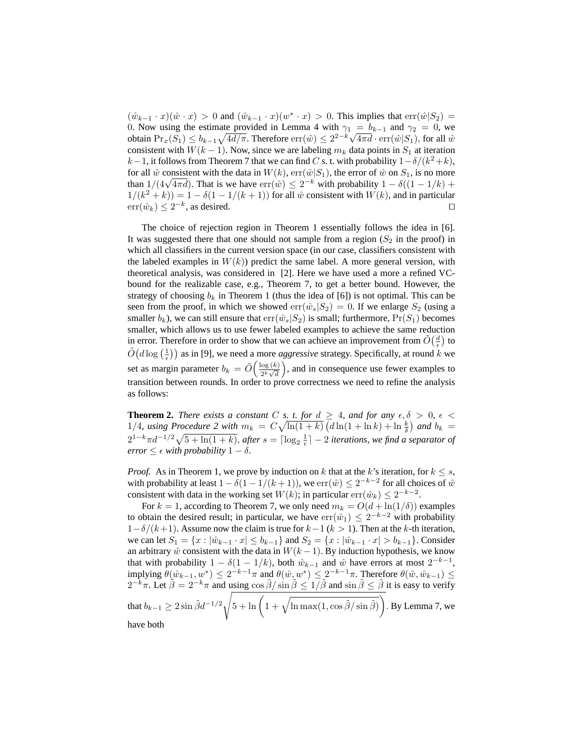$(\hat{w}_{k-1} \cdot x)(\hat{w} \cdot x) > 0$  and  $(\hat{w}_{k-1} \cdot x)(w^* \cdot x) > 0$ . This implies that  $err(\hat{w}|S_2)$ 0. Now using the estimate provided in Lemma 4 with  $\gamma_1 = b_{k-1}$  and  $\gamma_2 = 0$ , we obtain  $Pr_x(S_1) \leq b_{k-1} \sqrt{4d/\pi}$ . Therefore  $err(\hat{w}) \leq 2^{2-k} \sqrt{4\pi d} \cdot err(\hat{w}|S_1)$ , for all  $\hat{w}$ consistent with  $W(k-1)$ . Now, since we are labeling  $m_k$  data points in  $S_1$  at iteration k − 1, it follows from Theorem 7 that we can find C s. t. with probability  $1 - \delta/(k^2 + k)$ , for all  $\hat{w}$  consistent with the data in  $W(k)$ ,  $err(\hat{w}|S_1)$ , the error of  $\hat{w}$  on  $S_1$ , is no more than  $1/(4\sqrt{4\pi d})$ . That is we have  $\text{err}(\hat{w}) \leq 2^{-k}$  with probability  $1 - \delta((1 - 1/k) +$  $1/(k^2 + k)$  =  $1 - \delta(1 - 1/(k + 1))$  for all  $\hat{w}$  consistent with  $W(k)$ , and in particular  $err(\hat{w}_k) \leq 2^{-k}$ , as desired.

The choice of rejection region in Theorem 1 essentially follows the idea in [6]. It was suggested there that one should not sample from a region  $(S_2$  in the proof) in which all classifiers in the current version space (in our case, classifiers consistent with the labeled examples in  $W(k)$ ) predict the same label. A more general version, with theoretical analysis, was considered in [2]. Here we have used a more a refined VCbound for the realizable case, e.g., Theorem 7, to get a better bound. However, the strategy of choosing  $b_k$  in Theorem 1 (thus the idea of [6]) is not optimal. This can be seen from the proof, in which we showed  $err(\hat{w}_s|S_2) = 0$ . If we enlarge  $S_2$  (using a smaller  $b_k$ ), we can still ensure that  $err(\hat{w}_s|S_2)$  is small; furthermore,  $Pr(S_1)$  becomes smaller, which allows us to use fewer labeled examples to achieve the same reduction in error. Therefore in order to show that we can achieve an improvement from  $\tilde{O}\left(\frac{d}{\epsilon}\right)$  to  $\tilde{O}(d \log(\frac{1}{\epsilon}))$  as in [9], we need a more *aggressive* strategy. Specifically, at round k we set as margin parameter  $b_k = \tilde{O}\left(\frac{\log(k)}{2k\sqrt{d}}\right)$  $\frac{\log(k)}{2^k\sqrt{d}}$ , and in consequence use fewer examples to transition between rounds. In order to prove correctness we need to refine the analysis as follows:

**Theorem 2.** *There exists a constant* C *s. t. for*  $d \geq 4$ *, and for any*  $\epsilon, \delta > 0$ ,  $\epsilon <$ 1/4*, using Procedure 2 with*  $m_k = C \sqrt{\ln(1+k)} \left( d \ln(1 + \ln k) + \ln \frac{k}{\delta} \right)$  and  $b_k =$  $2^{1-k} \pi d^{-1/2} \sqrt{5 + \ln(1+k)}$ , *after*  $s = \lceil \log_2 \frac{1}{\epsilon} \rceil - 2$  *iterations, we find a separator of error*  $\leq \epsilon$  *with probability*  $1 - \delta$ *.* 

*Proof.* As in Theorem 1, we prove by induction on k that at the k's iteration, for  $k \leq s$ , with probability at least  $1 - \delta(1 - 1/(k+1))$ , we  $err(\hat{w}) \le 2^{-k-2}$  for all choices of  $\hat{w}$ consistent with data in the working set  $W(k)$ ; in particular  $err(\hat{w}_k) \leq 2^{-k-2}$ .

For  $k = 1$ , according to Theorem 7, we only need  $m_k = O(d + \ln(1/\delta))$  examples to obtain the desired result; in particular, we have  $err(\hat{w}_1) \leq 2^{-k-2}$  with probability  $1-\delta/(k+1)$ . Assume now the claim is true for  $k-1$  ( $k > 1$ ). Then at the k-th iteration, we can let  $S_1 = \{x : |\hat{w}_{k-1} \cdot x| \le b_{k-1}\}\$  and  $S_2 = \{x : |\hat{w}_{k-1} \cdot x| > b_{k-1}\}\$ . Consider an arbitrary  $\hat{w}$  consistent with the data in  $W(k-1)$ . By induction hypothesis, we know that with probability  $1 - \delta(1 - 1/k)$ , both  $\hat{w}_{k-1}$  and  $\hat{w}$  have errors at most  $2^{-k-1}$ , implying  $\theta(\hat{w}_{k-1}, w^*) \leq 2^{-k-1}\pi$  and  $\theta(\hat{w}, w^*) \leq 2^{-k-1}\pi$ . Therefore  $\theta(\hat{w}, \hat{w}_{k-1}) \leq$  $2^{-k}\pi$ . Let  $\tilde{\beta} = 2^{-k}\pi$  and using  $\cos \tilde{\beta}/\sin \tilde{\beta} \le 1/\tilde{\beta}$  and  $\sin \tilde{\beta} \le \tilde{\beta}$  it is easy to verify that  $b_{k-1} \ge 2 \sin \tilde{\beta} d^{-1/2} \sqrt{5 + \ln \left(1 + \sqrt{\ln \max(1, \cos \tilde{\beta}/ \sin \tilde{\beta})}\right)}$ . By Lemma 7, we have both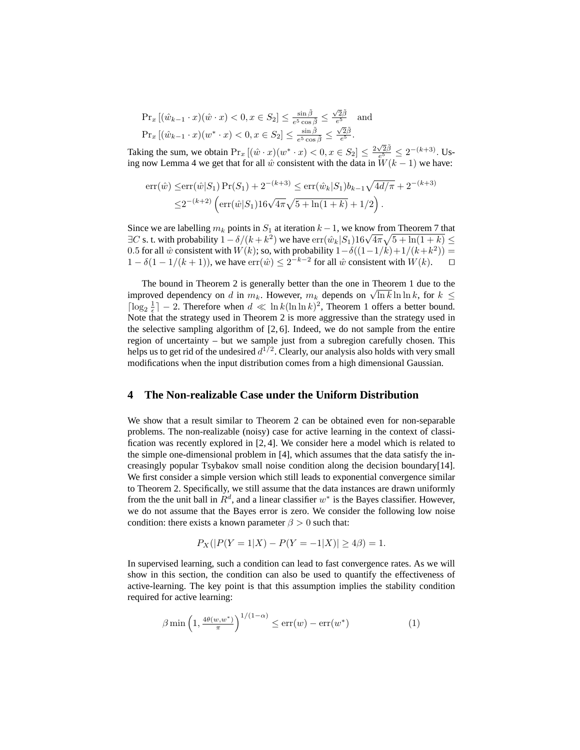$$
\Pr_x\left[ (\hat{w}_{k-1} \cdot x)(\hat{w} \cdot x) < 0, x \in S_2 \right] \le \frac{\sin \tilde{\beta}}{e^5 \cos \tilde{\beta}} \le \frac{\sqrt{2} \tilde{\beta}}{e^5} \quad \text{and}
$$
\n
$$
\Pr_x\left[ (\hat{w}_{k-1} \cdot x)(w^* \cdot x) < 0, x \in S_2 \right] \le \frac{\sin \tilde{\beta}}{e^5 \cos \tilde{\beta}} \le \frac{\sqrt{2} \tilde{\beta}}{e^5}.
$$

Taking the sum, we obtain  $Pr_x[(\hat{w} \cdot x)(w^* \cdot x) < 0, x \in S_2] \leq \frac{2\sqrt{2}\tilde{\beta}}{\epsilon_0^5} \leq 2^{-(k+3)}$ . Using now Lemma 4 we get that for all  $\hat{w}$  consistent with the data in  $\hat{W}(k-1)$  we have:

$$
\begin{split} \text{err}(\hat{w}) \leq & \text{err}(\hat{w}|S_1) \Pr(S_1) + 2^{-(k+3)} \leq \text{err}(\hat{w}_k|S_1) b_{k-1} \sqrt{4d/\pi} + 2^{-(k+3)} \\ \leq & 2^{-(k+2)} \left( \text{err}(\hat{w}|S_1) 16 \sqrt{4\pi} \sqrt{5 + \ln(1+k)} + 1/2 \right). \end{split}
$$

Since we are labelling  $m_k$  points in  $S_1$  at iteration  $k - 1$ , we know from Theorem 7 that  $\exists C$  s. t. with probability  $1 - \delta/(k + k^2)$  we have  $\text{err}(\hat{w}_k | S_1) 16\sqrt{4\pi}\sqrt{5 + \ln(1 + k)}$  ≤ 0.5 for all  $\hat{w}$  consistent with  $W(k)$ ; so, with probability  $1 - \delta((1 - 1/k) + 1/(k+k^2)) =$  $1 - \delta(1 - 1/(k + 1))$ , we have  $err(\hat{w}) \le 2^{-k-2}$  for all  $\hat{w}$  consistent with  $W(k)$ . □

The bound in Theorem 2 is generally better than the one in Theorem 1 due to the improved dependency on d in  $m_k$ . However,  $m_k$  depends on  $\sqrt{\ln k} \ln \ln k$ , for  $k \leq$  $\lceil \log_2 \frac{1}{\epsilon} \rceil - 2$ . Therefore when  $d \ll \ln k(\ln \ln k)^2$ , Theorem 1 offers a better bound. Note that the strategy used in Theorem 2 is more aggressive than the strategy used in the selective sampling algorithm of [2, 6]. Indeed, we do not sample from the entire region of uncertainty – but we sample just from a subregion carefully chosen. This helps us to get rid of the undesired  $d^{1/2}$ . Clearly, our analysis also holds with very small modifications when the input distribution comes from a high dimensional Gaussian.

# **4 The Non-realizable Case under the Uniform Distribution**

We show that a result similar to Theorem 2 can be obtained even for non-separable problems. The non-realizable (noisy) case for active learning in the context of classification was recently explored in [2, 4]. We consider here a model which is related to the simple one-dimensional problem in [4], which assumes that the data satisfy the increasingly popular Tsybakov small noise condition along the decision boundary[14]. We first consider a simple version which still leads to exponential convergence similar to Theorem 2. Specifically, we still assume that the data instances are drawn uniformly from the the unit ball in  $R^d$ , and a linear classifier  $w^*$  is the Bayes classifier. However, we do not assume that the Bayes error is zero. We consider the following low noise condition: there exists a known parameter  $\beta > 0$  such that:

$$
P_X(|P(Y = 1|X) - P(Y = -1|X)| \ge 4\beta) = 1.
$$

In supervised learning, such a condition can lead to fast convergence rates. As we will show in this section, the condition can also be used to quantify the effectiveness of active-learning. The key point is that this assumption implies the stability condition required for active learning:

$$
\beta \min\left(1, \frac{4\theta(w, w^*)}{\pi}\right)^{1/(1-\alpha)} \le \text{err}(w) - \text{err}(w^*)
$$
 (1)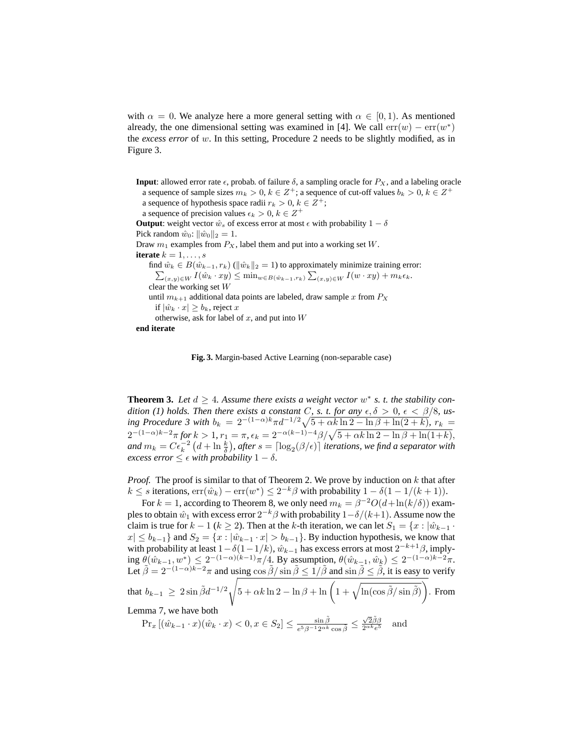with  $\alpha = 0$ . We analyze here a more general setting with  $\alpha \in [0, 1)$ . As mentioned already, the one dimensional setting was examined in [4]. We call  $err(w) - err(w^*)$ the *excess error* of w. In this setting, Procedure 2 needs to be slightly modified, as in Figure 3.

**Input**: allowed error rate  $\epsilon$ , probab. of failure  $\delta$ , a sampling oracle for  $P_X$ , and a labeling oracle a sequence of sample sizes  $m_k > 0$ ,  $k \in \mathbb{Z}^+$ ; a sequence of cut-off values  $b_k > 0$ ,  $k \in \mathbb{Z}^+$ a sequence of hypothesis space radii  $r_k > 0, k \in \mathbb{Z}^+$ ; a sequence of precision values  $\epsilon_k > 0, k \in \mathbb{Z}^+$ **Output**: weight vector  $\hat{w}_s$  of excess error at most  $\epsilon$  with probability  $1 - \delta$ Pick random  $\hat{w}_0$ :  $\|\hat{w}_0\|_2 = 1$ . Draw  $m_1$  examples from  $P_X$ , label them and put into a working set W. **iterate**  $k = 1, \ldots, s$ find  $\hat{w}_k \in B(\hat{w}_{k-1}, r_k)$  ( $\|\hat{w}_k\|_2 = 1$ ) to approximately minimize training error:<br>  $\sum_{(x,y)\in W} I(\hat{w}_k \cdot xy) \leq \min_{w \in B(\hat{w}_{k-1}, r_k)} \sum_{(x,y)\in W} I(w \cdot xy) + m_k \epsilon_k$ .  $(x,y)\in W I(\hat{w}_k \cdot xy) \leq \min_{w \in B(\hat{w}_{k-1},r_k)} \sum_{(x,y)\in W} I(w \cdot xy) + m_k \epsilon_k.$ clear the working set W until  $m_{k+1}$  additional data points are labeled, draw sample x from  $P_X$ if  $|\hat{w}_k \cdot x| \geq b_k$ , reject x otherwise, ask for label of  $x$ , and put into  $W$ **end iterate**



**Theorem 3.** Let  $d \geq 4$ . Assume there exists a weight vector  $w^*$  s. t. the stability con*dition (1) holds. Then there exists a constant* C, s. t. for any  $\epsilon, \delta > 0$ ,  $\epsilon < \beta/8$ , us*ing Procedure 3 with*  $b_k = 2^{-(1-\alpha)k} \pi d^{-1/2} \sqrt{5 + \alpha k \ln 2 - \ln \beta + \ln(2 + k)}$ ,  $r_k =$  $2^{-(1-\alpha)k-2}\pi$  for  $k > 1$ ,  $r_1 = \pi$ ,  $\epsilon_k = 2^{-\alpha(k-1)-4}\beta/\sqrt{5 + \alpha k \ln 2 - \ln \beta + \ln(1+k)},$ and  $m_k = C\epsilon_k^{-2}\left(d+\ln\frac{k}{\delta}\right)$ , after  $s = \left\lceil\log_2(\beta/\epsilon)\right\rceil$  iterations, we find a separator with *excess error*  $\leq \epsilon$  *with probability*  $1 - \delta$ *.* 

*Proof.* The proof is similar to that of Theorem 2. We prove by induction on k that after  $k \leq s$  iterations,  $err(\hat{w}_k) - err(w^*) \leq 2^{-k}\beta$  with probability  $1 - \delta(1 - 1/(k+1)).$ 

For  $k = 1$ , according to Theorem 8, we only need  $m_k = \beta^{-2}O(d + \ln(k/\delta))$  examples to obtain  $\hat{w}_1$  with excess error  $2^{-k}\beta$  with probability  $1-\delta/(k+1)$ . Assume now the claim is true for  $k - 1$  ( $k \ge 2$ ). Then at the k-th iteration, we can let  $S_1 = \{x : |\hat{w}_{k-1} \cdot$  $|x| \le b_{k-1}$  and  $S_2 = \{x : |\hat{w}_{k-1} \cdot x| > b_{k-1}\}$ . By induction hypothesis, we know that with probability at least  $1 - \delta(1 - 1/k)$ ,  $\hat{w}_{k-1}$  has excess errors at most  $2^{-k+1}\beta$ , imply- $\lim_{\alpha \to 0} \theta(\hat{w}_{k-1}, w^*) \leq 2^{-(1-\alpha)(k-1)} \pi/4$ . By assumption,  $\theta(\hat{w}_{k-1}, \hat{w}_{k}) \leq 2^{-(1-\alpha)k-2} \pi$ . Let  $\tilde{\beta} = 2^{-(1-\alpha)k-2}\pi$  and using  $\cos \tilde{\beta}/\sin \tilde{\beta} \le 1/\tilde{\beta}$  and  $\sin \tilde{\beta} \le \tilde{\beta}$ , it is easy to verify that  $b_{k-1} \geq 2 \sin \tilde{\beta} d^{-1/2} \sqrt{5 + \alpha k \ln 2 - \ln \beta + \ln \left(1 + \sqrt{\ln(\cos \tilde{\beta}/\sin \tilde{\beta})}\right)}$ . From Lemma 7, we have both  $\Pr_x\left[(\hat{w}_{k-1}\cdot x)(\hat{w}_k\cdot x)\lt 0, x\in S_2\right] \leq \frac{\sin\tilde{\beta}}{e^5\beta^{-1}2^{\alpha k}}$  $e^{5}\beta^{-1}2^{\alpha k}\cos\tilde{\beta}$   $\leq$  $\sqrt{2}\tilde{\beta}\beta$  $\frac{\sqrt{2\beta p}}{2^{\alpha k}e^5}$  and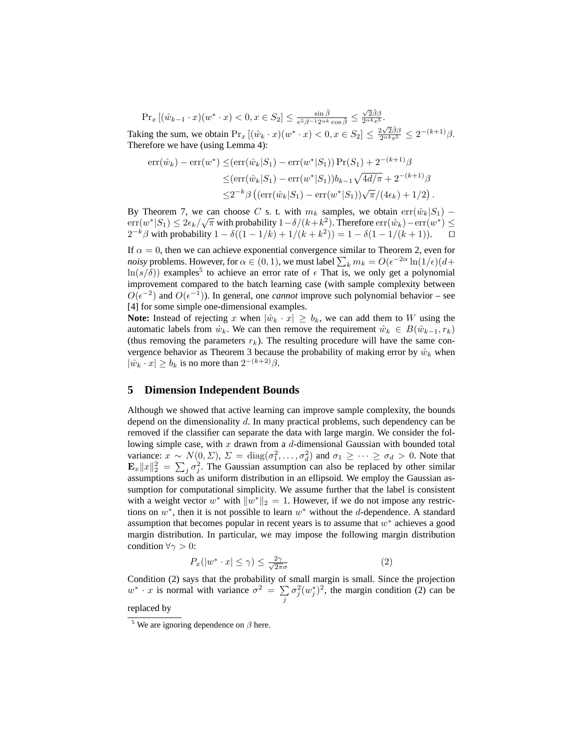$\Pr_x \left[ (\hat{w}_{k-1} \cdot x)(w^* \cdot x) < 0, x \in S_2 \right] \le \frac{\sin \tilde{\beta}}{e^{5} \beta^{-1} 2^{\alpha k}}$  $e^{5}\beta^{-1}2^{\alpha k}\cos\tilde{\beta}$   $\leq$  $\sqrt{2}\tilde{\beta}\beta$  $\frac{\sqrt{2\rho\rho}}{2^{\alpha k}e^5}$ .

Taking the sum, we obtain  $Pr_x[(\hat{w}_k \cdot x)(w^* \cdot x) < 0, x \in S_2] \leq \frac{2\sqrt{2}\tilde{\beta}\beta}{2^{\alpha k}e^5}$  $\frac{2\sqrt{2\beta\beta}}{2^{\alpha k}e^5} \leq 2^{-(k+1)}\beta.$ Therefore we have (using Lemma 4):

$$
\begin{aligned} \text{err}(\hat{w}_k) - \text{err}(w^*) \leq & (\text{err}(\hat{w}_k|S_1) - \text{err}(w^*|S_1)) \Pr(S_1) + 2^{-(k+1)}\beta \\ \leq & (\text{err}(\hat{w}_k|S_1) - \text{err}(w^*|S_1))b_{k-1}\sqrt{4d/\pi} + 2^{-(k+1)}\beta \\ \leq & 2^{-k}\beta \left( (\text{err}(\hat{w}_k|S_1) - \text{err}(w^*|S_1))\sqrt{\pi}/(4\epsilon_k) + 1/2 \right). \end{aligned}
$$

By Theorem 7, we can choose C s. t. with  $m_k$  samples, we obtain  $err(\hat{w}_k|S_1)$  –  $\text{err}(w^* | S_1) \leq 2\epsilon_k/\sqrt{\pi}$  with probability  $1 - \delta/(k + k^2)$ . Therefore  $\text{err}(\hat{w}_k) - \text{err}(w^*) \leq$  $2^{-k} \beta$  with probability  $1 - \delta((1 - 1/k) + 1/(k + k^2)) = 1 - \delta(1 - 1/(k + 1)).$  □

If  $\alpha = 0$ , then we can achieve exponential convergence similar to Theorem 2, even for *noisy* problems. However, for  $\alpha \in (0, 1)$ , we must label  $\sum_{k} m_k = O(\epsilon^{-2\alpha} \ln(1/\epsilon)) (d +$  $\ln(s/\delta)$ ) examples<sup>5</sup> to achieve an error rate of  $\epsilon$  That is, we only get a polynomial improvement compared to the batch learning case (with sample complexity between  $O(\epsilon^{-2})$  and  $O(\epsilon^{-1})$ ). In general, one *cannot* improve such polynomial behavior – see [4] for some simple one-dimensional examples.

**Note:** Instead of rejecting x when  $|\hat{w}_k \cdot x| \geq b_k$ , we can add them to W using the automatic labels from  $\hat{w}_k$ . We can then remove the requirement  $\hat{w}_k \in B(\hat{w}_{k-1}, r_k)$ (thus removing the parameters  $r_k$ ). The resulting procedure will have the same convergence behavior as Theorem 3 because the probability of making error by  $\hat{w}_k$  when  $|\hat{w}_k \cdot x| \ge b_k$  is no more than  $2^{-(k+2)}\beta$ .

# **5 Dimension Independent Bounds**

Although we showed that active learning can improve sample complexity, the bounds depend on the dimensionality d. In many practical problems, such dependency can be removed if the classifier can separate the data with large margin. We consider the following simple case, with  $x$  drawn from a  $d$ -dimensional Gaussian with bounded total variance:  $x \sim N(0, \Sigma)$ ,  $\Sigma = \text{diag}(\sigma_1^2, \dots, \sigma_d^2)$  and  $\sigma_1 \geq \dots \geq \sigma_d > 0$ . Note that  $\mathbf{E}_x ||x||_2^2 = \sum_j \sigma_j^2$ . The Gaussian assumption can also be replaced by other similar assumptions such as uniform distribution in an ellipsoid. We employ the Gaussian assumption for computational simplicity. We assume further that the label is consistent with a weight vector  $w^*$  with  $||w^*||_2 = 1$ . However, if we do not impose any restrictions on  $w^*$ , then it is not possible to learn  $w^*$  without the d-dependence. A standard assumption that becomes popular in recent years is to assume that  $w^*$  achieves a good margin distribution. In particular, we may impose the following margin distribution condition  $\forall \gamma > 0$ :

$$
P_x(|w^* \cdot x| \le \gamma) \le \frac{2\gamma}{\sqrt{2\pi}\sigma} \tag{2}
$$

Condition (2) says that the probability of small margin is small. Since the projection  $w^* \cdot x$  is normal with variance  $\sigma^2 = \sum$ j  $\sigma_j^2(w_j^*)^2$ , the margin condition (2) can be

replaced by

<sup>&</sup>lt;sup>5</sup> We are ignoring dependence on  $\beta$  here.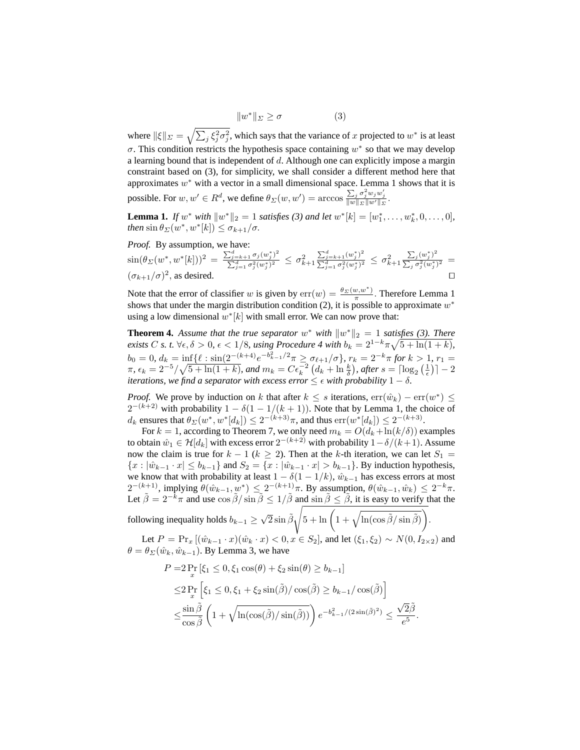$||w^*||_{\Sigma} \ge \sigma$  (3)

where  $\|\xi\|_{\Sigma} = \sqrt{\sum_j \xi_j^2 \sigma_j^2}$ , which says that the variance of x projected to  $w^*$  is at least  $\sigma$ . This condition restricts the hypothesis space containing  $w^*$  so that we may develop a learning bound that is independent of  $d$ . Although one can explicitly impose a margin constraint based on (3), for simplicity, we shall consider a different method here that approximates  $w^*$  with a vector in a small dimensional space. Lemma 1 shows that it is possible. For  $w, w' \in R^d$ , we define  $\theta_{\Sigma}(w, w') = \arccos \frac{\sum_j \sigma_j^2 w_j w_j'}{\|w\|_{\Sigma}\|w'\|_{\Sigma}}$ .

**Lemma 1.** *If*  $w^*$  *with*  $||w^*||_2 = 1$  *satisfies (3) and let*  $w^*[k] = [w_1^*, \ldots, w_k^*, 0, \ldots, 0]$ *, then*  $\sin \theta_{\Sigma}(w^*, w^*[k]) \leq \sigma_{k+1}/\sigma$ .

*Proof.* By assumption, we have:

$$
\sin(\theta_{\Sigma}(w^*,w^*[k]))^2 = \frac{\sum_{j=k+1}^d \sigma_j(w_j^*)^2}{\sum_{j=1}^d \sigma_j^2(w_j^*)^2} \leq \sigma_{k+1}^2 \frac{\sum_{j=k+1}^d (w_j^*)^2}{\sum_{j=1}^d \sigma_j^2(w_j^*)^2} \leq \sigma_{k+1}^2 \frac{\sum_j (w_j^*)^2}{\sum_j \sigma_j^2(w_j^*)^2} =
$$
  

$$
(\sigma_{k+1}/\sigma)^2
$$
, as desired.

Note that the error of classifier w is given by  $err(w) = \frac{\theta_{\Sigma}(w, w^*)}{\pi}$  $\frac{w, w}{\pi}$ . Therefore Lemma 1 shows that under the margin distribution condition (2), it is possible to approximate  $w^*$ using a low dimensional  $w^*[k]$  with small error. We can now prove that:

**Theorem 4.** Assume that the true separator  $w^*$  with  $||w^*||_2 = 1$  satisfies (3). There *exists* C *s. t.*  $\forall \epsilon, \delta > 0$ ,  $\epsilon < 1/8$ , using Procedure 4 with  $b_k = 2^{1-k} \pi \sqrt{5 + \ln(1+k)}$ ,  $b_0 = 0, d_k = \inf \{ \ell : \sin(2^{-(k+4)}e^{-b_{k-1}^2/2}\pi \ge \sigma_{\ell+1}/\sigma \}, r_k = 2^{-k}\pi$  for  $k > 1, r_1 = 1$  $\pi$ ,  $\epsilon_k = 2^{-5}/\sqrt{5 + \ln(1+k)}$ , and  $m_k = C\epsilon_k^{-2} (d_k + \ln \frac{k}{\delta})$ , after  $s = \lceil \log_2(\frac{1}{\epsilon}) \rceil - 2$ *iterations, we find a separator with excess error*  $\leq \epsilon$  with probability  $1 - \delta$ *.* 

*Proof.* We prove by induction on k that after  $k \leq s$  iterations,  $err(\hat{w}_k) - err(w^*) \leq$  $2^{-(k+2)}$  with probability  $1 - \delta(1 - 1/(k+1))$ . Note that by Lemma 1, the choice of  $d_k$  ensures that  $\theta_{\Sigma}(w^*, w^* [d_k]) \leq 2^{-(k+3)}\pi$ , and thus  $\text{err}(w^* [d_k]) \leq 2^{-(k+3)}$ .

For  $k = 1$ , according to Theorem 7, we only need  $m_k = O(d_k + \ln(k/\delta))$  examples to obtain  $\hat{w}_1 \in \mathcal{H}[d_k]$  with excess error  $2^{-(k+2)}$  with probability  $1 - \delta/(k+1)$ . Assume now the claim is true for  $k - 1$  ( $k \ge 2$ ). Then at the k-th iteration, we can let  $S_1 =$  ${x : |\hat{w}_{k-1} \cdot x| \le b_{k-1}}$  and  $S_2 = {x : |\hat{w}_{k-1} \cdot x| > b_{k-1}}$ . By induction hypothesis, we know that with probability at least  $1 - \delta(1 - 1/k)$ ,  $\hat{w}_{k-1}$  has excess errors at most  $2^{-(k+1)}$ , implying  $\theta(\hat{w}_{k-1}, \hat{w}_k) \leq 2^{-(k+1)}\pi$ . By assumption,  $\theta(\hat{w}_{k-1}, \hat{w}_k) \leq 2^{-k}\pi$ . Let  $\tilde{\beta} = 2^{-k}\pi$  and use  $\cos \tilde{\beta}/\sin \tilde{\beta} \le 1/\tilde{\beta}$  and  $\sin \tilde{\beta} \le \tilde{\beta}$ , it is easy to verify that the

following inequality holds  $b_{k-1} \geq \sqrt{2} \sin \tilde{\beta} \sqrt{5 + \ln \left(1 + \sqrt{\ln(\cos \tilde{\beta}/\sin \tilde{\beta})}\right)}$ .

Let  $P = \Pr_x [(\hat{w}_{k-1} \cdot x)(\hat{w}_k \cdot x) < 0, x \in S_2]$ , and let  $(\xi_1, \xi_2) \sim N(0, I_{2 \times 2})$  and  $\theta = \theta_{\Sigma}(\hat{w}_k, \hat{w}_{k-1})$ . By Lemma 3, we have

$$
P = 2 \Pr_x \left[ \xi_1 \le 0, \xi_1 \cos(\theta) + \xi_2 \sin(\theta) \ge b_{k-1} \right]
$$
  

$$
\le 2 \Pr_x \left[ \xi_1 \le 0, \xi_1 + \xi_2 \sin(\tilde{\beta}) / \cos(\tilde{\beta}) \ge b_{k-1} / \cos(\tilde{\beta}) \right]
$$
  

$$
\le \frac{\sin \tilde{\beta}}{\cos \tilde{\beta}} \left( 1 + \sqrt{\ln(\cos(\tilde{\beta}) / \sin(\tilde{\beta}))} \right) e^{-b_{k-1}^2 / (2 \sin(\tilde{\beta})^2)} \le \frac{\sqrt{2} \tilde{\beta}}{e^5}.
$$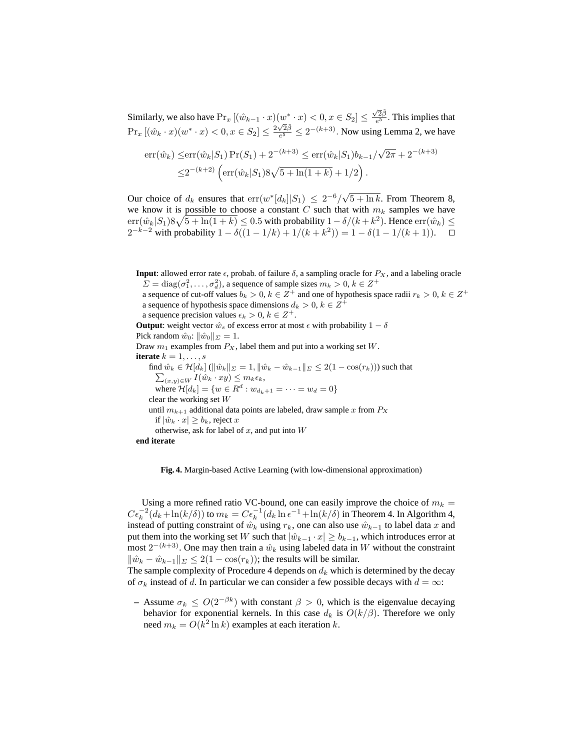Similarly, we also have  $Pr_x[(\hat{w}_{k-1} \cdot x)(w^* \cdot x) < 0, x \in S_2] \leq \frac{\sqrt{2}\tilde{\beta}}{e^5}$ . This implies that  $\Pr_x[(\hat{w}_k \cdot x)(w^* \cdot x) < 0, x \in S_2] \le \frac{2\sqrt{2}\tilde{\beta}}{e^5} \le 2^{-(k+3)}$ . Now using Lemma 2, we have

$$
\begin{aligned} \text{err}(\hat{w}_k) \leq & \text{err}(\hat{w}_k|S_1) \Pr(S_1) + 2^{-(k+3)} \leq \text{err}(\hat{w}_k|S_1) b_{k-1} / \sqrt{2\pi} + 2^{-(k+3)} \\ \leq & 2^{-(k+2)} \left( \text{err}(\hat{w}_k|S_1) 8\sqrt{5 + \ln(1+k)} + 1/2 \right). \end{aligned}
$$

Our choice of  $d_k$  ensures that  $err(w^*[d_k]|S_1) \leq 2^{-6}/\sqrt{5 + \ln k}$ . From Theorem 8, we know it is possible to choose a constant  $C$  such that with  $m_k$  samples we have  $err(\hat{w}_k|S_1)8\sqrt{5 + \ln(1+k)} \leq 0.5$  with probability  $1 - \delta/(k+k^2)$ . Hence  $err(\hat{w}_k) \leq$  $2^{-k-2}$  with probability  $1 - \delta((1 - 1/k) + 1/(k + k^2)) = 1 - \delta(1 - 1/(k + 1)).$  □

**Input**: allowed error rate  $\epsilon$ , probab. of failure  $\delta$ , a sampling oracle for  $P_X$ , and a labeling oracle  $\Sigma = \text{diag}(\sigma_1^2, \dots, \sigma_d^2)$ , a sequence of sample sizes  $m_k > 0, k \in \mathbb{Z}^+$ a sequence of cut-off values  $b_k > 0$ ,  $k \in \mathbb{Z}^+$  and one of hypothesis space radii  $r_k > 0$ ,  $k \in \mathbb{Z}^+$ a sequence of hypothesis space dimensions  $d_k > 0, k \in \mathbb{Z}^+$ a sequence precision values  $\epsilon_k > 0, k \in \mathbb{Z}^+$ . **Output**: weight vector  $\hat{w}_s$  of excess error at most  $\epsilon$  with probability  $1 - \delta$ Pick random  $\hat{w}_0$ :  $\|\hat{w}_0\|_{\Sigma} = 1$ . Draw  $m_1$  examples from  $P_X$ , label them and put into a working set W. **iterate**  $k = 1, \ldots, s$ find  $\hat{w}_k \in \mathcal{H}[d_k]$  ( $\|\hat{w}_k\|_{\Sigma} = 1$ ,  $\|\hat{w}_k - \hat{w}_{k-1}\|_{\Sigma} \le 2(1 - \cos(r_k))$ ) such that  $\sum_{(x, y) \in W} I(\hat{w}_k \cdot xy) \le m_k \epsilon_k$ ,  $\sum_{(x,y)\in W} I(\hat{w}_k \cdot xy) \leq m_k \epsilon_k,$ where  $\mathcal{H}[d_k] = \{w \in R^d : w_{d_k+1} = \cdots = w_d = 0\}$ clear the working set W until  $m_{k+1}$  additional data points are labeled, draw sample x from  $P_X$ if  $|\hat{w}_k \cdot x| \geq b_k$ , reject x otherwise, ask for label of  $x$ , and put into  $W$ **end iterate**

**Fig. 4.** Margin-based Active Learning (with low-dimensional approximation)

Using a more refined ratio VC-bound, one can easily improve the choice of  $m_k =$  $C\epsilon_k^{-2}(d_k + \ln(k/\delta))$  to  $m_k = C\epsilon_k^{-1}(d_k \ln \epsilon^{-1} + \ln(k/\delta))$  in Theorem 4. In Algorithm 4, instead of putting constraint of  $\hat{w}_k$  using  $r_k$ , one can also use  $\hat{w}_{k-1}$  to label data x and put them into the working set W such that  $|\hat{w}_{k-1} \cdot x| \ge b_{k-1}$ , which introduces error at most  $2^{-(k+3)}$ . One may then train a  $\hat{w}_k$  using labeled data in W without the constraint  $\|\hat{w}_k - \hat{w}_{k-1}\|_{\Sigma} \leq 2(1 - \cos(r_k))$ ; the results will be similar.

The sample complexity of Procedure 4 depends on  $d_k$  which is determined by the decay of  $\sigma_k$  instead of d. In particular we can consider a few possible decays with  $d = \infty$ :

**–** Assume  $\sigma_k \leq O(2^{-\beta k})$  with constant  $\beta > 0$ , which is the eigenvalue decaying behavior for exponential kernels. In this case  $d_k$  is  $O(k/\beta)$ . Therefore we only need  $m_k = O(k^2 \ln k)$  examples at each iteration k.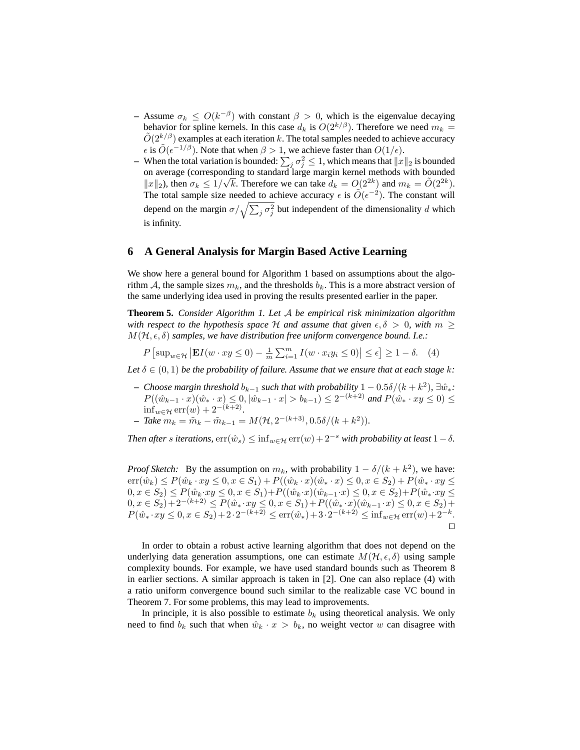- $-$  Assume  $\sigma_k \leq O(k^{-\beta})$  with constant  $\beta > 0$ , which is the eigenvalue decaying behavior for spline kernels. In this case  $d_k$  is  $O(2^{k/\beta})$ . Therefore we need  $m_k =$  $O(2^{k/\beta})$  examples at each iteration k. The total samples needed to achieve accuracy  $\epsilon$  is  $\tilde{O}(\epsilon^{-1/\beta})$ . Note that when  $\beta > 1$ , we achieve faster than  $O(1/\epsilon)$ .
- **–** When the total variation is bounded:  $\sum_j \sigma_j^2 \leq 1$ , which means that  $||x||_2$  is bounded on average (corresponding to standard large margin kernel methods with bounded  $\lim_{n \to \infty} \frac{1}{n} \int_{0}^{\infty} \frac{1}{(n-1)^{n}}$  Therefore we can take  $d_{\theta} = O(2^{2k})$  and  $m_{\theta} = \tilde{O}(2^{2k})$ .  $||x||_2$ ), then  $\sigma_k \leq 1/\sqrt{k}$ . Therefore we can take  $d_k = O(2^{2k})$  and  $m_k = \tilde{O}(2^{2k})$ . The total sample size needed to achieve accuracy  $\epsilon$  is  $\tilde{O}(\epsilon^{-2})$ . The constant will depend on the margin  $\sigma/\sqrt{\sum_j \sigma_j^2}$  but independent of the dimensionality d which is infinity.

#### **6 A General Analysis for Margin Based Active Learning**

We show here a general bound for Algorithm 1 based on assumptions about the algorithm A, the sample sizes  $m_k$ , and the thresholds  $b_k$ . This is a more abstract version of the same underlying idea used in proving the results presented earlier in the paper.

**Theorem 5.** *Consider Algorithm 1. Let* A *be empirical risk minimization algorithm with respect to the hypothesis space*  $H$  *and assume that given*  $\epsilon, \delta > 0$ *, with*  $m > 0$  $M(\mathcal{H}, \epsilon, \delta)$  *samples, we have distribution free uniform convergence bound. I.e.:* 

 $P\left[\sup_{w \in \mathcal{H}} |\mathbf{E}I(w \cdot xy \leq 0) - \frac{1}{m} \sum_{i=1}^{m} I(w \cdot x_i y_i \leq 0)| \leq \epsilon\right] \geq 1 - \delta.$  (4)

Let  $\delta \in (0,1)$  *be the probability of failure. Assume that we ensure that at each stage* k:

- $-$  *Choose margin threshold*  $b_{k-1}$  *such that with probability*  $1 0.5\delta/(k + k^2)$ ,  $\exists \hat{w}_*$ *:*  $P((\hat{w}_{k-1} \cdot x)(\hat{w}_* \cdot x) \leq 0, |\hat{w}_{k-1} \cdot x| > b_{k-1}) \leq 2^{-(k+2)}$  and  $P(\hat{w}_* \cdot xy \leq 0) \leq$  $\inf_{w \in \mathcal{H}} \text{err}(w) + 2^{-(k+2)}$ .
- $-$  *Take*  $m_k = \tilde{m}_k \tilde{m}_{k-1} = M(\mathcal{H}, 2^{-(k+3)}, 0.5\delta/(k+k^2)).$

*Then after s iterations,*  $err(\hat{w}_s) \leq \inf_{w \in \mathcal{H}} err(w) + 2^{-s}$  *with probability at least*  $1 - \delta$ *.* 

*Proof Sketch:* By the assumption on  $m_k$ , with probability  $1 - \delta/(k + k^2)$ , we have:  $err(\hat{w}_k) \leq P(\hat{w}_k \cdot xy \leq 0, x \in S_1) + P((\hat{w}_k \cdot x)(\hat{w}_k \cdot x) \leq 0, x \in S_2) + P(\hat{w}_k \cdot xy \leq 0, x \in S_1)$  $(0, x \in S_2) \le P(\hat{w}_k \cdot xy \le 0, x \in S_1) + P((\hat{w}_k \cdot x)(\hat{w}_{k-1} \cdot x) \le 0, x \in S_2) + P(\hat{w}_k \cdot xy \le 0)$  $0, x \in S_2$ ) + 2<sup>-(k+2)</sup>  $\leq P(\hat{w}_*, xy \leq 0, x \in S_1) + P((\hat{w}_*, x)(\hat{w}_{k-1}, x) \leq 0, x \in S_2) +$  $P(\hat{w}_*, xy \le 0, x \in S_2) + 2 \cdot 2^{-(k+2)} \le \text{err}(\hat{w}_*) + 3 \cdot 2^{-(k+2)} \le \text{inf}_{w \in \mathcal{H}} \text{err}(w) + 2^{-k}.$  $\Box$ 

In order to obtain a robust active learning algorithm that does not depend on the underlying data generation assumptions, one can estimate  $M(\mathcal{H}, \epsilon, \delta)$  using sample complexity bounds. For example, we have used standard bounds such as Theorem 8 in earlier sections. A similar approach is taken in [2]. One can also replace (4) with a ratio uniform convergence bound such similar to the realizable case VC bound in Theorem 7. For some problems, this may lead to improvements.

In principle, it is also possible to estimate  $b_k$  using theoretical analysis. We only need to find  $b_k$  such that when  $\hat{w}_k \cdot x > b_k$ , no weight vector w can disagree with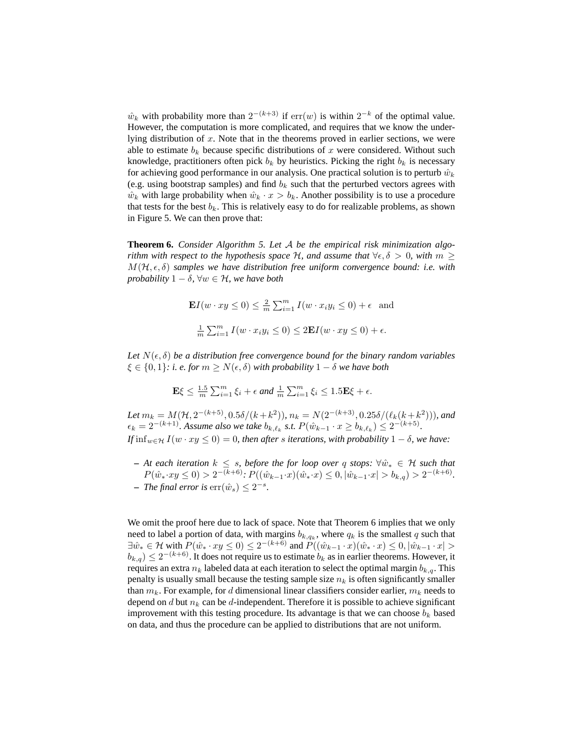$\hat{w}_k$  with probability more than  $2^{-(k+3)}$  if  $err(w)$  is within  $2^{-k}$  of the optimal value. However, the computation is more complicated, and requires that we know the underlying distribution of  $x$ . Note that in the theorems proved in earlier sections, we were able to estimate  $b_k$  because specific distributions of x were considered. Without such knowledge, practitioners often pick  $b_k$  by heuristics. Picking the right  $b_k$  is necessary for achieving good performance in our analysis. One practical solution is to perturb  $\hat{w}_k$ (e.g. using bootstrap samples) and find  $b_k$  such that the perturbed vectors agrees with  $\hat{w}_k$  with large probability when  $\hat{w}_k \cdot x > b_k$ . Another possibility is to use a procedure that tests for the best  $b_k$ . This is relatively easy to do for realizable problems, as shown in Figure 5. We can then prove that:

**Theorem 6.** *Consider Algorithm 5. Let* A *be the empirical risk minimization algorithm with respect to the hypothesis space*  $H$ *, and assume that*  $\forall \epsilon, \delta > 0$ *, with*  $m \geq$  $M(\mathcal{H}, \epsilon, \delta)$  *samples we have distribution free uniform convergence bound: i.e. with probability*  $1 - \delta$ *,*  $\forall w \in \mathcal{H}$ *, we have both* 

$$
\mathbf{E}I(w \cdot xy \le 0) \le \frac{2}{m} \sum_{i=1}^{m} I(w \cdot x_i y_i \le 0) + \epsilon \text{ and}
$$

$$
\frac{1}{m} \sum_{i=1}^{m} I(w \cdot x_i y_i \le 0) \le 2\mathbf{E}I(w \cdot xy \le 0) + \epsilon.
$$

Let  $N(\epsilon, \delta)$  be a distribution free convergence bound for the binary random variables  $\xi \in \{0,1\}$ : *i. e. for*  $m \geq N(\epsilon, \delta)$  *with probability*  $1 - \delta$  *we have both* 

$$
\mathbf{E}\xi \le \frac{1.5}{m} \sum_{i=1}^{m} \xi_i + \epsilon \text{ and } \frac{1}{m} \sum_{i=1}^{m} \xi_i \le 1.5\mathbf{E}\xi + \epsilon.
$$

Let  $m_k = M(\mathcal{H}, 2^{-(k+5)}, 0.5\delta/(k+k^2))$ ,  $n_k = N(2^{-(k+3)}, 0.25\delta/(\ell_k(k+k^2)))$ , and  $\epsilon_k = 2^{-(k+1)}$ . Assume also we take  $b_{k, \ell_k}$  s.t.  $P(\hat{w}_{k-1} \cdot x \ge b_{k, \ell_k}) \le 2^{-(k+5)}$ . *If*  $\inf_{w \in \mathcal{H}} I(w \cdot xy \leq 0) = 0$ *, then after s iterations, with probability*  $1 - \delta$ *, we have:* 

 $-$  *At each iteration*  $k \leq s$ , *before the for loop over* q *stops:*  $\forall \hat{w}_* \in \mathcal{H}$  *such that*  $P(\hat{w}_*, xy \le 0) > 2^{-(k+6)}$ :  $P((\hat{w}_{k-1}.x)(\hat{w}_*, x) \le 0, |\hat{w}_{k-1}.x| > b_{k,q}) > 2^{-(k+6)}$ .  $-$  *The final error is*  $\text{err}(\hat{w}_s) \leq 2^{-s}$ *.* 

We omit the proof here due to lack of space. Note that Theorem 6 implies that we only need to label a portion of data, with margins  $b_{k,q_k}$ , where  $q_k$  is the smallest q such that  $\exists \hat{w}_* \in \mathcal{H} \text{ with } P(\hat{w}_* \cdot xy \leq 0) \leq 2^{-(k+6)} \text{ and } P((\hat{w}_{k-1} \cdot x)(\hat{w}_* \cdot x) \leq 0, |\hat{w}_{k-1} \cdot x| >$  $b_{k,q}$ )  $\leq 2^{-(k+6)}$ . It does not require us to estimate  $b_k$  as in earlier theorems. However, it requires an extra  $n_k$  labeled data at each iteration to select the optimal margin  $b_{k,q}$ . This penalty is usually small because the testing sample size  $n_k$  is often significantly smaller than  $m_k$ . For example, for d dimensional linear classifiers consider earlier,  $m_k$  needs to depend on d but  $n_k$  can be d-independent. Therefore it is possible to achieve significant improvement with this testing procedure. Its advantage is that we can choose  $b_k$  based on data, and thus the procedure can be applied to distributions that are not uniform.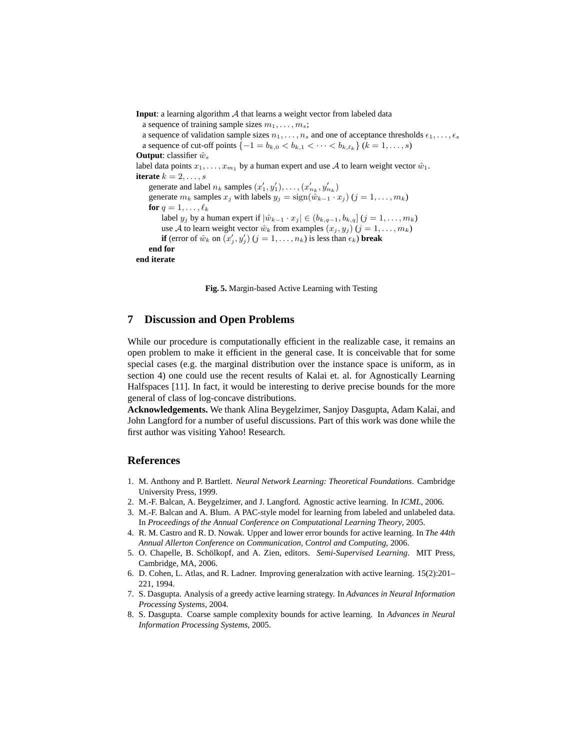**Input**: a learning algorithm A that learns a weight vector from labeled data a sequence of training sample sizes  $m_1, \ldots, m_s$ ; a sequence of validation sample sizes  $n_1, \ldots, n_s$  and one of acceptance thresholds  $\epsilon_1, \ldots, \epsilon_s$ a sequence of cut-off points  $\{-1 = b_{k,0} < b_{k,1} < \cdots < b_{k,\ell_k}\}$   $(k = 1, \ldots, s)$ **Output**: classifier  $\hat{w}_s$ label data points  $x_1, \ldots, x_{m_1}$  by a human expert and use A to learn weight vector  $\hat{w}_1$ . **iterate**  $k = 2, \ldots, s$ generate and label  $n_k$  samples  $(x'_1, y'_1), \ldots, (x'_{n_k}, y'_{n_k})$ generate  $m_k$  samples  $x_j$  with labels  $y_j = \text{sign}(\hat{w}_{k-1} \cdot x_j)$   $(j = 1, ..., m_k)$ **for**  $q = 1, \ldots, \ell_k$ label  $y_j$  by a human expert if  $|\hat{w}_{k-1} \cdot x_j| \in (b_{k,q-1}, b_{k,q}]$   $(j = 1, \ldots, m_k)$ use A to learn weight vector  $\hat{w}_k$  from examples  $(x_j, y_j)$   $(j = 1, \ldots, m_k)$ **if** (error of  $\hat{w}_k$  on  $(x'_j, y'_j)$   $(j = 1, \ldots, n_k)$  is less than  $\epsilon_k$ ) **break end for end iterate**

**Fig. 5.** Margin-based Active Learning with Testing

#### **7 Discussion and Open Problems**

While our procedure is computationally efficient in the realizable case, it remains an open problem to make it efficient in the general case. It is conceivable that for some special cases (e.g. the marginal distribution over the instance space is uniform, as in section 4) one could use the recent results of Kalai et. al. for Agnostically Learning Halfspaces [11]. In fact, it would be interesting to derive precise bounds for the more general of class of log-concave distributions.

**Acknowledgements.** We thank Alina Beygelzimer, Sanjoy Dasgupta, Adam Kalai, and John Langford for a number of useful discussions. Part of this work was done while the first author was visiting Yahoo! Research.

# **References**

- 1. M. Anthony and P. Bartlett. *Neural Network Learning: Theoretical Foundations*. Cambridge University Press, 1999.
- 2. M.-F. Balcan, A. Beygelzimer, and J. Langford. Agnostic active learning. In *ICML*, 2006.
- 3. M.-F. Balcan and A. Blum. A PAC-style model for learning from labeled and unlabeled data. In *Proceedings of the Annual Conference on Computational Learning Theory*, 2005.
- 4. R. M. Castro and R. D. Nowak. Upper and lower error bounds for active learning. In *The 44th Annual Allerton Conference on Communication, Control and Computing*, 2006.
- 5. O. Chapelle, B. Scholkopf, and A. Zien, editors. ¨ *Semi-Supervised Learning*. MIT Press, Cambridge, MA, 2006.
- 6. D. Cohen, L. Atlas, and R. Ladner. Improving generalzation with active learning. 15(2):201– 221, 1994.
- 7. S. Dasgupta. Analysis of a greedy active learning strategy. In *Advances in Neural Information Processing Systems*, 2004.
- 8. S. Dasgupta. Coarse sample complexity bounds for active learning. In *Advances in Neural Information Processing Systems*, 2005.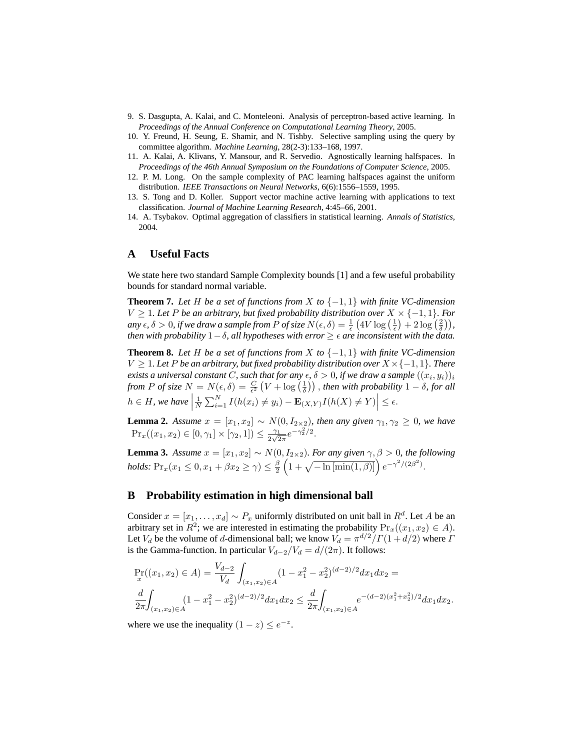- 9. S. Dasgupta, A. Kalai, and C. Monteleoni. Analysis of perceptron-based active learning. In *Proceedings of the Annual Conference on Computational Learning Theory*, 2005.
- 10. Y. Freund, H. Seung, E. Shamir, and N. Tishby. Selective sampling using the query by committee algorithm. *Machine Learning*, 28(2-3):133–168, 1997.
- 11. A. Kalai, A. Klivans, Y. Mansour, and R. Servedio. Agnostically learning halfspaces. In *Proceedings of the 46th Annual Symposium on the Foundations of Computer Science*, 2005.
- 12. P. M. Long. On the sample complexity of PAC learning halfspaces against the uniform distribution. *IEEE Transactions on Neural Networks*, 6(6):1556–1559, 1995.
- 13. S. Tong and D. Koller. Support vector machine active learning with applications to text classification. *Journal of Machine Learning Research*, 4:45–66, 2001.
- 14. A. Tsybakov. Optimal aggregation of classifiers in statistical learning. *Annals of Statistics*, 2004.

# **A Useful Facts**

We state here two standard Sample Complexity bounds [1] and a few useful probability bounds for standard normal variable.

**Theorem 7.** Let H be a set of functions from X to  $\{-1, 1\}$  with finite VC-dimension  $V ≥ 1$ *. Let* P *be an arbitrary, but fixed probability distribution over*  $X × \{-1, 1\}$ *. For any*  $\epsilon$ ,  $\delta > 0$ , *if we draw a sample from P of size*  $N(\epsilon, \delta) = \frac{1}{\epsilon} \left( 4V \log \left( \frac{1}{\epsilon} \right) + 2 \log \left( \frac{2}{\delta} \right) \right)$ , *then with probability* 1−δ*, all hypotheses with error* ≥ *are inconsistent with the data.*

**Theorem 8.** Let H be a set of functions from X to  $\{-1, 1\}$  with finite VC-dimension V ≥ 1*. Let* P *be an arbitrary, but fixed probability distribution over* X×{−1, 1}*. There* exists a universal constant  $C$ , such that for any  $\epsilon,$   $\delta > 0$ , if we draw a sample  $((x_i, y_i))_i$ *from P of size*  $N = N(\epsilon, \delta) = \frac{C}{\epsilon^2} (V + \log(\frac{1}{\delta}))$ , *then with probability*  $1 - \delta$ *, for all*  $h \in H$ *, we have*  $\frac{1}{N}\sum_{i=1}^{N}I(h(x_i) \neq y_i) - \mathbf{E}_{(X,Y)}I(h(X) \neq Y)\Big| \leq \epsilon.$ 

**Lemma 2.** *Assume*  $x = [x_1, x_2] \sim N(0, I_{2 \times 2})$ *, then any given*  $\gamma_1, \gamma_2 \ge 0$ *, we have*  $Pr_x((x_1, x_2) \in [0, \gamma_1] \times [\gamma_2, 1]) \le \frac{\gamma_1}{2\sqrt{2}}$  $\frac{\gamma_1}{2\sqrt{2\pi}}e^{-\gamma_2^2/2}.$ 

**Lemma 3.** *Assume*  $x = [x_1, x_2] \sim N(0, I_{2 \times 2})$ *. For any given*  $\gamma, \beta > 0$ *, the following holds:*  $Pr_x(x_1 \leq 0, x_1 + \beta x_2 \geq \gamma) \leq \frac{\beta}{2} \left(1 + \sqrt{-\ln[\min(1,\beta)]}\right) e^{-\gamma^2/(2\beta^2)}.$ 

# **B Probability estimation in high dimensional ball**

Consider  $x = [x_1, \dots, x_d] \sim P_x$  uniformly distributed on unit ball in  $R^d$ . Let A be an arbitrary set in  $R^2$ ; we are interested in estimating the probability  $Pr_x((x_1, x_2) \in A)$ . Let  $V_d$  be the volume of d-dimensional ball; we know  $V_d = \pi^{d/2}/\Gamma(1 + d/2)$  where  $\Gamma$ is the Gamma-function. In particular  $V_{d-2}/V_d = d/(2\pi)$ . It follows:

$$
\Pr_x((x_1, x_2) \in A) = \frac{V_{d-2}}{V_d} \int_{(x_1, x_2) \in A} (1 - x_1^2 - x_2^2)^{(d-2)/2} dx_1 dx_2 =
$$
  

$$
\frac{d}{2\pi} \int_{(x_1, x_2) \in A} (1 - x_1^2 - x_2^2)^{(d-2)/2} dx_1 dx_2 \le \frac{d}{2\pi} \int_{(x_1, x_2) \in A} e^{-(d-2)(x_1^2 + x_2^2)/2} dx_1 dx_2.
$$

where we use the inequality  $(1 - z) \le e^{-z}$ .